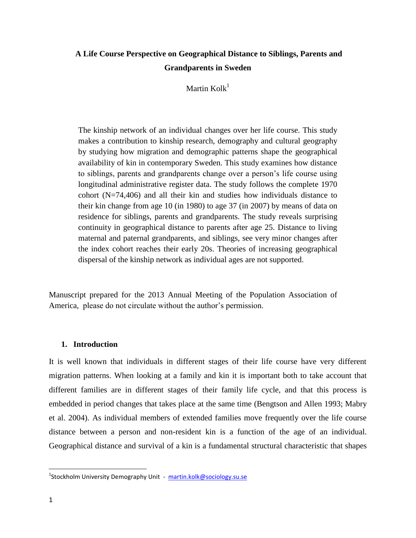# **A Life Course Perspective on Geographical Distance to Siblings, Parents and Grandparents in Sweden**

Martin  $Kolk<sup>1</sup>$ 

The kinship network of an individual changes over her life course. This study makes a contribution to kinship research, demography and cultural geography by studying how migration and demographic patterns shape the geographical availability of kin in contemporary Sweden. This study examines how distance to siblings, parents and grandparents change over a person's life course using longitudinal administrative register data. The study follows the complete 1970 cohort (N=74,406) and all their kin and studies how individuals distance to their kin change from age 10 (in 1980) to age 37 (in 2007) by means of data on residence for siblings, parents and grandparents. The study reveals surprising continuity in geographical distance to parents after age 25. Distance to living maternal and paternal grandparents, and siblings, see very minor changes after the index cohort reaches their early 20s. Theories of increasing geographical dispersal of the kinship network as individual ages are not supported.

Manuscript prepared for the 2013 Annual Meeting of the Population Association of America, please do not circulate without the author's permission.

## **1. Introduction**

It is well known that individuals in different stages of their life course have very different migration patterns. When looking at a family and kin it is important both to take account that different families are in different stages of their family life cycle, and that this process is embedded in period changes that takes place at the same time (Bengtson and Allen 1993; Mabry et al. 2004). As individual members of extended families move frequently over the life course distance between a person and non-resident kin is a function of the age of an individual. Geographical distance and survival of a kin is a fundamental structural characteristic that shapes

l

<sup>&</sup>lt;sup>1</sup>Stockholm University Demography Unit - [martin.kolk@sociology.su.se](mailto:martin.kolk@sociology.su.se)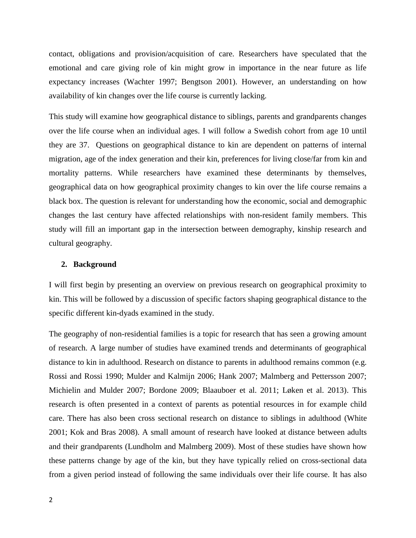contact, obligations and provision/acquisition of care. Researchers have speculated that the emotional and care giving role of kin might grow in importance in the near future as life expectancy increases (Wachter 1997; Bengtson 2001). However, an understanding on how availability of kin changes over the life course is currently lacking.

This study will examine how geographical distance to siblings, parents and grandparents changes over the life course when an individual ages. I will follow a Swedish cohort from age 10 until they are 37. Questions on geographical distance to kin are dependent on patterns of internal migration, age of the index generation and their kin, preferences for living close/far from kin and mortality patterns. While researchers have examined these determinants by themselves, geographical data on how geographical proximity changes to kin over the life course remains a black box. The question is relevant for understanding how the economic, social and demographic changes the last century have affected relationships with non-resident family members. This study will fill an important gap in the intersection between demography, kinship research and cultural geography.

### **2. Background**

I will first begin by presenting an overview on previous research on geographical proximity to kin. This will be followed by a discussion of specific factors shaping geographical distance to the specific different kin-dyads examined in the study.

The geography of non-residential families is a topic for research that has seen a growing amount of research. A large number of studies have examined trends and determinants of geographical distance to kin in adulthood. Research on distance to parents in adulthood remains common (e.g. Rossi and Rossi 1990; Mulder and Kalmijn 2006; Hank 2007; Malmberg and Pettersson 2007; Michielin and Mulder 2007; Bordone 2009; Blaauboer et al. 2011; Løken et al. 2013). This research is often presented in a context of parents as potential resources in for example child care. There has also been cross sectional research on distance to siblings in adulthood (White 2001; Kok and Bras 2008). A small amount of research have looked at distance between adults and their grandparents (Lundholm and Malmberg 2009). Most of these studies have shown how these patterns change by age of the kin, but they have typically relied on cross-sectional data from a given period instead of following the same individuals over their life course. It has also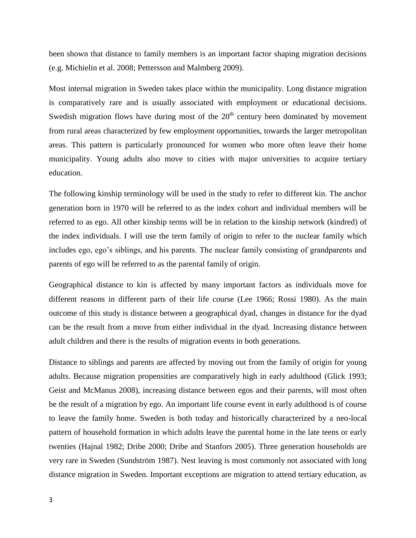been shown that distance to family members is an important factor shaping migration decisions (e.g. Michielin et al. 2008; Pettersson and Malmberg 2009).

Most internal migration in Sweden takes place within the municipality. Long distance migration is comparatively rare and is usually associated with employment or educational decisions. Swedish migration flows have during most of the  $20<sup>th</sup>$  century been dominated by movement from rural areas characterized by few employment opportunities, towards the larger metropolitan areas. This pattern is particularly pronounced for women who more often leave their home municipality. Young adults also move to cities with major universities to acquire tertiary education.

The following kinship terminology will be used in the study to refer to different kin. The anchor generation born in 1970 will be referred to as the index cohort and individual members will be referred to as ego. All other kinship terms will be in relation to the kinship network (kindred) of the index individuals. I will use the term family of origin to refer to the nuclear family which includes ego, ego's siblings, and his parents. The nuclear family consisting of grandparents and parents of ego will be referred to as the parental family of origin.

Geographical distance to kin is affected by many important factors as individuals move for different reasons in different parts of their life course (Lee 1966; Rossi 1980). As the main outcome of this study is distance between a geographical dyad, changes in distance for the dyad can be the result from a move from either individual in the dyad. Increasing distance between adult children and there is the results of migration events in both generations.

Distance to siblings and parents are affected by moving out from the family of origin for young adults. Because migration propensities are comparatively high in early adulthood (Glick 1993; Geist and McManus 2008), increasing distance between egos and their parents, will most often be the result of a migration by ego. An important life course event in early adulthood is of course to leave the family home. Sweden is both today and historically characterized by a neo-local pattern of household formation in which adults leave the parental home in the late teens or early twenties (Hajnal 1982; Dribe 2000; Dribe and Stanfors 2005). Three generation households are very rare in Sweden (Sundström 1987). Nest leaving is most commonly not associated with long distance migration in Sweden. Important exceptions are migration to attend tertiary education, as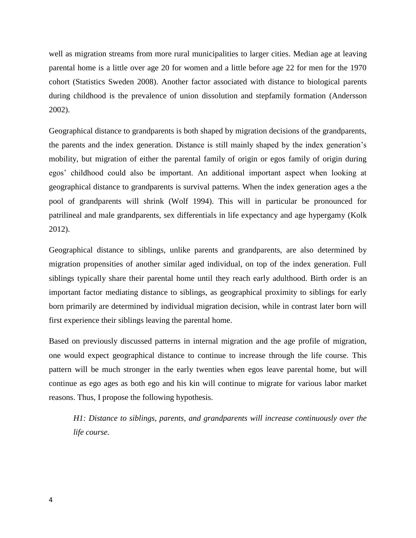well as migration streams from more rural municipalities to larger cities. Median age at leaving parental home is a little over age 20 for women and a little before age 22 for men for the 1970 cohort (Statistics Sweden 2008). Another factor associated with distance to biological parents during childhood is the prevalence of union dissolution and stepfamily formation (Andersson 2002).

Geographical distance to grandparents is both shaped by migration decisions of the grandparents, the parents and the index generation. Distance is still mainly shaped by the index generation's mobility, but migration of either the parental family of origin or egos family of origin during egos' childhood could also be important. An additional important aspect when looking at geographical distance to grandparents is survival patterns. When the index generation ages a the pool of grandparents will shrink (Wolf 1994). This will in particular be pronounced for patrilineal and male grandparents, sex differentials in life expectancy and age hypergamy (Kolk 2012).

Geographical distance to siblings, unlike parents and grandparents, are also determined by migration propensities of another similar aged individual, on top of the index generation. Full siblings typically share their parental home until they reach early adulthood. Birth order is an important factor mediating distance to siblings, as geographical proximity to siblings for early born primarily are determined by individual migration decision, while in contrast later born will first experience their siblings leaving the parental home.

Based on previously discussed patterns in internal migration and the age profile of migration, one would expect geographical distance to continue to increase through the life course. This pattern will be much stronger in the early twenties when egos leave parental home, but will continue as ego ages as both ego and his kin will continue to migrate for various labor market reasons. Thus, I propose the following hypothesis.

*H1: Distance to siblings, parents, and grandparents will increase continuously over the life course.*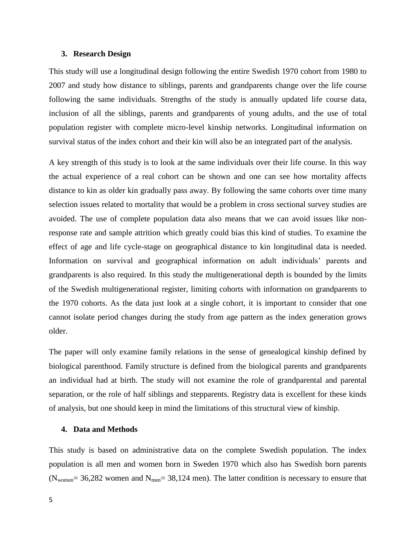### **3. Research Design**

This study will use a longitudinal design following the entire Swedish 1970 cohort from 1980 to 2007 and study how distance to siblings, parents and grandparents change over the life course following the same individuals. Strengths of the study is annually updated life course data, inclusion of all the siblings, parents and grandparents of young adults, and the use of total population register with complete micro-level kinship networks. Longitudinal information on survival status of the index cohort and their kin will also be an integrated part of the analysis.

A key strength of this study is to look at the same individuals over their life course. In this way the actual experience of a real cohort can be shown and one can see how mortality affects distance to kin as older kin gradually pass away. By following the same cohorts over time many selection issues related to mortality that would be a problem in cross sectional survey studies are avoided. The use of complete population data also means that we can avoid issues like nonresponse rate and sample attrition which greatly could bias this kind of studies. To examine the effect of age and life cycle-stage on geographical distance to kin longitudinal data is needed. Information on survival and geographical information on adult individuals' parents and grandparents is also required. In this study the multigenerational depth is bounded by the limits of the Swedish multigenerational register, limiting cohorts with information on grandparents to the 1970 cohorts. As the data just look at a single cohort, it is important to consider that one cannot isolate period changes during the study from age pattern as the index generation grows older.

The paper will only examine family relations in the sense of genealogical kinship defined by biological parenthood. Family structure is defined from the biological parents and grandparents an individual had at birth. The study will not examine the role of grandparental and parental separation, or the role of half siblings and stepparents. Registry data is excellent for these kinds of analysis, but one should keep in mind the limitations of this structural view of kinship.

### **4. Data and Methods**

This study is based on administrative data on the complete Swedish population. The index population is all men and women born in Sweden 1970 which also has Swedish born parents ( $N_{\text{women}}$ = 36,282 women and  $N_{\text{men}}$ = 38,124 men). The latter condition is necessary to ensure that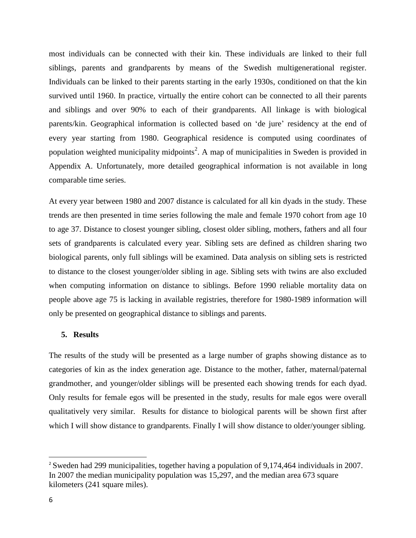most individuals can be connected with their kin. These individuals are linked to their full siblings, parents and grandparents by means of the Swedish multigenerational register. Individuals can be linked to their parents starting in the early 1930s, conditioned on that the kin survived until 1960. In practice, virtually the entire cohort can be connected to all their parents and siblings and over 90% to each of their grandparents. All linkage is with biological parents/kin. Geographical information is collected based on 'de jure' residency at the end of every year starting from 1980. Geographical residence is computed using coordinates of population weighted municipality midpoints<sup>2</sup>. A map of municipalities in Sweden is provided in Appendix A. Unfortunately, more detailed geographical information is not available in long comparable time series.

At every year between 1980 and 2007 distance is calculated for all kin dyads in the study. These trends are then presented in time series following the male and female 1970 cohort from age 10 to age 37. Distance to closest younger sibling, closest older sibling, mothers, fathers and all four sets of grandparents is calculated every year. Sibling sets are defined as children sharing two biological parents, only full siblings will be examined. Data analysis on sibling sets is restricted to distance to the closest younger/older sibling in age. Sibling sets with twins are also excluded when computing information on distance to siblings. Before 1990 reliable mortality data on people above age 75 is lacking in available registries, therefore for 1980-1989 information will only be presented on geographical distance to siblings and parents.

## **5. Results**

The results of the study will be presented as a large number of graphs showing distance as to categories of kin as the index generation age. Distance to the mother, father, maternal/paternal grandmother, and younger/older siblings will be presented each showing trends for each dyad. Only results for female egos will be presented in the study, results for male egos were overall qualitatively very similar. Results for distance to biological parents will be shown first after which I will show distance to grandparents. Finally I will show distance to older/younger sibling.

 $\overline{\phantom{a}}$ 

<sup>&</sup>lt;sup>2</sup> Sweden had 299 municipalities, together having a population of 9,174,464 individuals in 2007. In 2007 the median municipality population was 15,297, and the median area 673 square kilometers (241 square miles).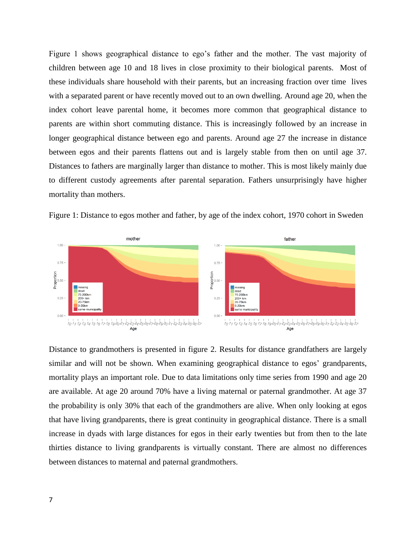Figure 1 shows geographical distance to ego's father and the mother. The vast majority of children between age 10 and 18 lives in close proximity to their biological parents. Most of these individuals share household with their parents, but an increasing fraction over time lives with a separated parent or have recently moved out to an own dwelling. Around age 20, when the index cohort leave parental home, it becomes more common that geographical distance to parents are within short commuting distance. This is increasingly followed by an increase in longer geographical distance between ego and parents. Around age 27 the increase in distance between egos and their parents flattens out and is largely stable from then on until age 37. Distances to fathers are marginally larger than distance to mother. This is most likely mainly due to different custody agreements after parental separation. Fathers unsurprisingly have higher mortality than mothers.





Distance to grandmothers is presented in figure 2. Results for distance grandfathers are largely similar and will not be shown. When examining geographical distance to egos' grandparents, mortality plays an important role. Due to data limitations only time series from 1990 and age 20 are available. At age 20 around 70% have a living maternal or paternal grandmother. At age 37 the probability is only 30% that each of the grandmothers are alive. When only looking at egos that have living grandparents, there is great continuity in geographical distance. There is a small increase in dyads with large distances for egos in their early twenties but from then to the late thirties distance to living grandparents is virtually constant. There are almost no differences between distances to maternal and paternal grandmothers.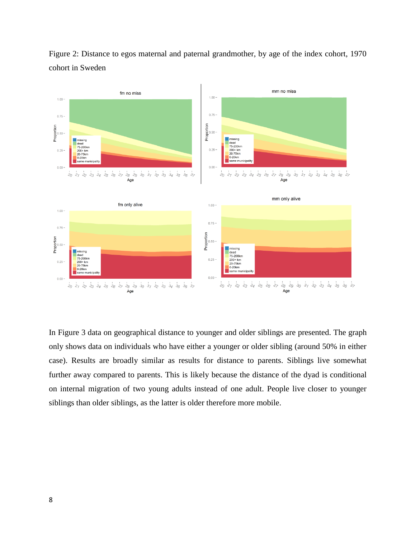

Figure 2: Distance to egos maternal and paternal grandmother, by age of the index cohort, 1970 cohort in Sweden

In Figure 3 data on geographical distance to younger and older siblings are presented. The graph only shows data on individuals who have either a younger or older sibling (around 50% in either case). Results are broadly similar as results for distance to parents. Siblings live somewhat further away compared to parents. This is likely because the distance of the dyad is conditional on internal migration of two young adults instead of one adult. People live closer to younger siblings than older siblings, as the latter is older therefore more mobile.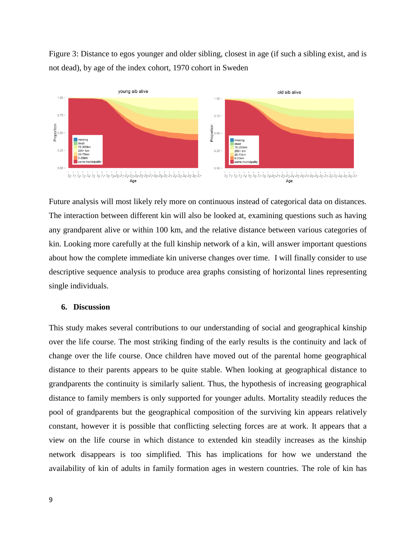Figure 3: Distance to egos younger and older sibling, closest in age (if such a sibling exist, and is not dead), by age of the index cohort, 1970 cohort in Sweden



Future analysis will most likely rely more on continuous instead of categorical data on distances. The interaction between different kin will also be looked at, examining questions such as having any grandparent alive or within 100 km, and the relative distance between various categories of kin. Looking more carefully at the full kinship network of a kin, will answer important questions about how the complete immediate kin universe changes over time. I will finally consider to use descriptive sequence analysis to produce area graphs consisting of horizontal lines representing single individuals.

#### **6. Discussion**

This study makes several contributions to our understanding of social and geographical kinship over the life course. The most striking finding of the early results is the continuity and lack of change over the life course. Once children have moved out of the parental home geographical distance to their parents appears to be quite stable. When looking at geographical distance to grandparents the continuity is similarly salient. Thus, the hypothesis of increasing geographical distance to family members is only supported for younger adults. Mortality steadily reduces the pool of grandparents but the geographical composition of the surviving kin appears relatively constant, however it is possible that conflicting selecting forces are at work. It appears that a view on the life course in which distance to extended kin steadily increases as the kinship network disappears is too simplified. This has implications for how we understand the availability of kin of adults in family formation ages in western countries. The role of kin has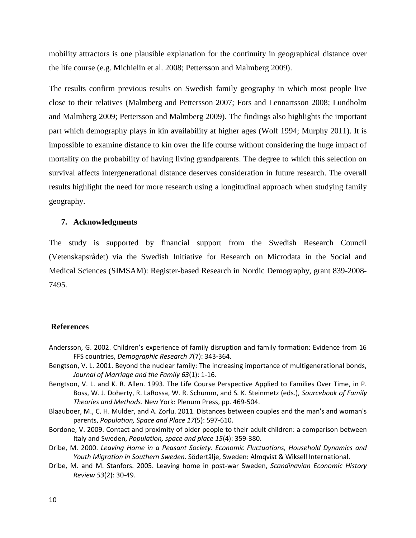mobility attractors is one plausible explanation for the continuity in geographical distance over the life course (e.g. Michielin et al. 2008; Pettersson and Malmberg 2009).

The results confirm previous results on Swedish family geography in which most people live close to their relatives (Malmberg and Pettersson 2007; Fors and Lennartsson 2008; Lundholm and Malmberg 2009; Pettersson and Malmberg 2009). The findings also highlights the important part which demography plays in kin availability at higher ages (Wolf 1994; Murphy 2011). It is impossible to examine distance to kin over the life course without considering the huge impact of mortality on the probability of having living grandparents. The degree to which this selection on survival affects intergenerational distance deserves consideration in future research. The overall results highlight the need for more research using a longitudinal approach when studying family geography.

### **7. Acknowledgments**

The study is supported by financial support from the Swedish Research Council (Vetenskapsrådet) via the Swedish Initiative for Research on Microdata in the Social and Medical Sciences (SIMSAM): Register-based Research in Nordic Demography, grant 839-2008- 7495.

### **References**

- Andersson, G. 2002. Children's experience of family disruption and family formation: Evidence from 16 FFS countries, *Demographic Research 7*(7): 343-364.
- Bengtson, V. L. 2001. Beyond the nuclear family: The increasing importance of multigenerational bonds, *Journal of Marriage and the Family 63*(1): 1-16.
- Bengtson, V. L. and K. R. Allen. 1993. The Life Course Perspective Applied to Families Over Time, in P. Boss, W. J. Doherty, R. LaRossa, W. R. Schumm, and S. K. Steinmetz (eds.), *Sourcebook of Family Theories and Methods.* New York: Plenum Press, pp. 469-504.
- Blaauboer, M., C. H. Mulder, and A. Zorlu. 2011. Distances between couples and the man's and woman's parents, *Population, Space and Place 17*(5): 597-610.
- Bordone, V. 2009. Contact and proximity of older people to their adult children: a comparison between Italy and Sweden, *Population, space and place 15*(4): 359-380.
- Dribe, M. 2000. *Leaving Home in a Peasant Society. Economic Fluctuations, Household Dynamics and Youth Migration in Southern Sweden*. Södertälje, Sweden: Almqvist & Wiksell International.
- Dribe, M. and M. Stanfors. 2005. Leaving home in post-war Sweden, *Scandinavian Economic History Review 53*(2): 30-49.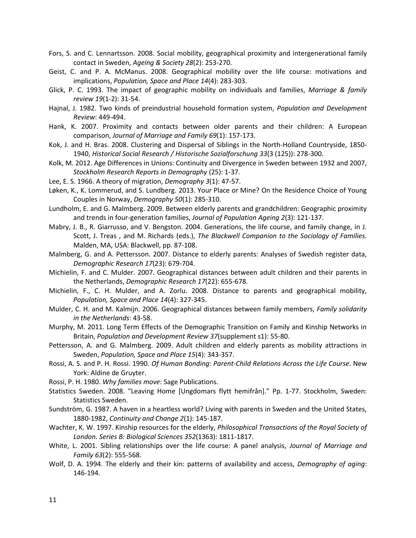- Fors, S. and C. Lennartsson. 2008. Social mobility, geographical proximity and intergenerational family contact in Sweden, *Ageing & Society 28*(2): 253-270.
- Geist, C. and P. A. McManus. 2008. Geographical mobility over the life course: motivations and implications, *Population, Space and Place 14*(4): 283-303.
- Glick, P. C. 1993. The impact of geographic mobility on individuals and families, *Marriage & family review 19*(1-2): 31-54.
- Hajnal, J. 1982. Two kinds of preindustrial household formation system, *Population and Development Review*: 449-494.
- Hank, K. 2007. Proximity and contacts between older parents and their children: A European comparison, *Journal of Marriage and Family 69*(1): 157-173.
- Kok, J. and H. Bras. 2008. Clustering and Dispersal of Siblings in the North-Holland Countryside, 1850- 1940, *Historical Social Research / Historische Sozialforschung 33*(3 (125)): 278-300.
- Kolk, M. 2012. Age Differences in Unions: Continuity and Divergence in Sweden between 1932 and 2007, *Stockholm Research Reports in Demography* (25): 1-37.
- Lee, E. S. 1966. A theory of migration, *Demography 3*(1): 47-57.
- Løken, K., K. Lommerud, and S. Lundberg. 2013. Your Place or Mine? On the Residence Choice of Young Couples in Norway, *Demography 50*(1): 285-310.
- Lundholm, E. and G. Malmberg. 2009. Between elderly parents and grandchildren: Geographic proximity and trends in four-generation families, *Journal of Population Ageing 2*(3): 121-137.
- Mabry, J. B., R. Giarrusso, and V. Bengston. 2004. Generations, the life course, and family change, in J. Scott, J. Treas , and M. Richards (eds.), *The Blackwell Companion to the Sociology of Families.* Malden, MA, USA: Blackwell, pp. 87-108.
- Malmberg, G. and A. Pettersson. 2007. Distance to elderly parents: Analyses of Swedish register data, *Demographic Research 17*(23): 679-704.
- Michielin, F. and C. Mulder. 2007. Geographical distances between adult children and their parents in the Netherlands, *Demographic Research 17*(22): 655-678.
- Michielin, F., C. H. Mulder, and A. Zorlu. 2008. Distance to parents and geographical mobility, *Population, Space and Place 14*(4): 327-345.
- Mulder, C. H. and M. Kalmijn. 2006. Geographical distances between family members, *Family solidarity in the Netherlands*: 43-58.
- Murphy, M. 2011. Long Term Effects of the Demographic Transition on Family and Kinship Networks in Britain, *Population and Development Review 37*(supplement s1): 55-80.
- Pettersson, A. and G. Malmberg. 2009. Adult children and elderly parents as mobility attractions in Sweden, *Population, Space and Place 15*(4): 343-357.
- Rossi, A. S. and P. H. Rossi. 1990. *Of Human Bonding: Parent-Child Relations Across the Life Course*. New York: Aldine de Gruyter.
- Rossi, P. H. 1980. *Why families move*: Sage Publications.
- Statistics Sweden. 2008. "Leaving Home [Ungdomars flytt hemifrån]." Pp. 1-77. Stockholm, Sweden: Statistics Sweden.
- Sundström, G. 1987. A haven in a heartless world? Living with parents in Sweden and the United States, 1880-1982, *Continuity and Change 2*(1): 145-187.
- Wachter, K. W. 1997. Kinship resources for the elderly, *Philosophical Transactions of the Royal Society of London. Series B: Biological Sciences 352*(1363): 1811-1817.
- White, L. 2001. Sibling relationships over the life course: A panel analysis, *Journal of Marriage and Family 63*(2): 555-568.
- Wolf, D. A. 1994. The elderly and their kin: patterns of availability and access, *Demography of aging*: 146-194.